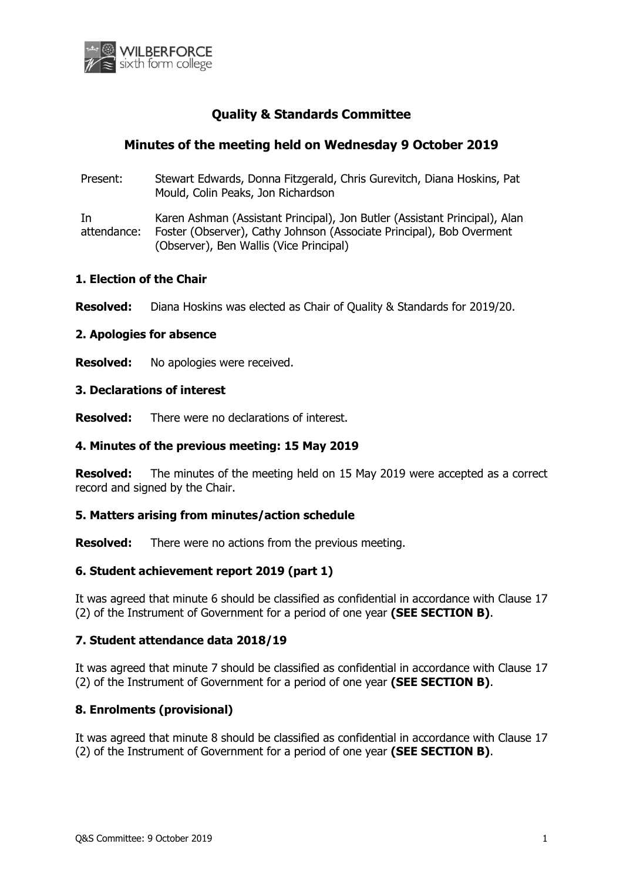

# **Quality & Standards Committee**

# **Minutes of the meeting held on Wednesday 9 October 2019**

Present: Stewart Edwards, Donna Fitzgerald, Chris Gurevitch, Diana Hoskins, Pat Mould, Colin Peaks, Jon Richardson

In attendance: Karen Ashman (Assistant Principal), Jon Butler (Assistant Principal), Alan Foster (Observer), Cathy Johnson (Associate Principal), Bob Overment (Observer), Ben Wallis (Vice Principal)

## **1. Election of the Chair**

**Resolved:** Diana Hoskins was elected as Chair of Quality & Standards for 2019/20.

### **2. Apologies for absence**

**Resolved:** No apologies were received.

### **3. Declarations of interest**

**Resolved:** There were no declarations of interest.

## **4. Minutes of the previous meeting: 15 May 2019**

**Resolved:** The minutes of the meeting held on 15 May 2019 were accepted as a correct record and signed by the Chair.

### **5. Matters arising from minutes/action schedule**

**Resolved:** There were no actions from the previous meeting.

### **6. Student achievement report 2019 (part 1)**

It was agreed that minute 6 should be classified as confidential in accordance with Clause 17 (2) of the Instrument of Government for a period of one year **(SEE SECTION B)**.

### **7. Student attendance data 2018/19**

It was agreed that minute 7 should be classified as confidential in accordance with Clause 17 (2) of the Instrument of Government for a period of one year **(SEE SECTION B)**.

# **8. Enrolments (provisional)**

It was agreed that minute 8 should be classified as confidential in accordance with Clause 17 (2) of the Instrument of Government for a period of one year **(SEE SECTION B)**.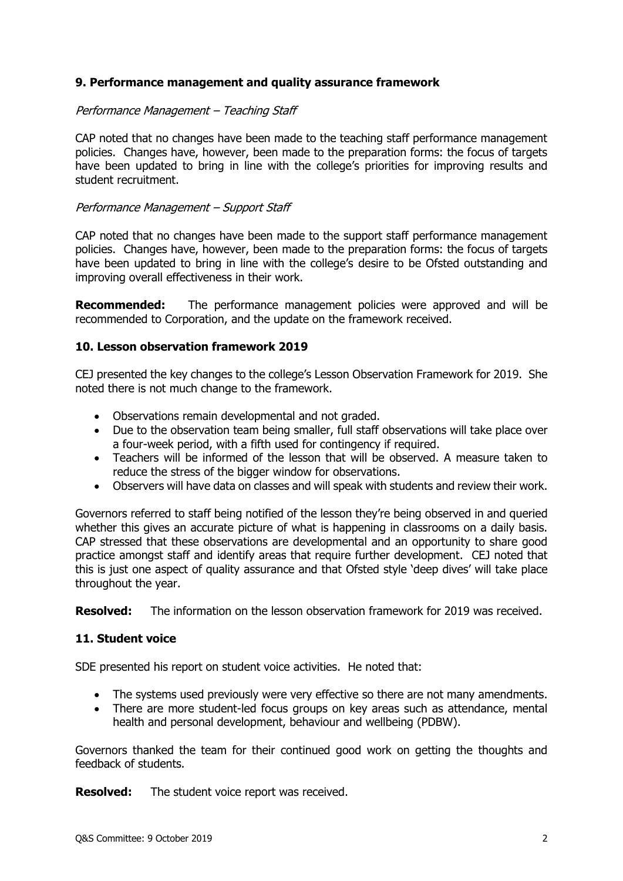# **9. Performance management and quality assurance framework**

## Performance Management – Teaching Staff

CAP noted that no changes have been made to the teaching staff performance management policies. Changes have, however, been made to the preparation forms: the focus of targets have been updated to bring in line with the college's priorities for improving results and student recruitment.

## Performance Management – Support Staff

CAP noted that no changes have been made to the support staff performance management policies. Changes have, however, been made to the preparation forms: the focus of targets have been updated to bring in line with the college's desire to be Ofsted outstanding and improving overall effectiveness in their work.

**Recommended:** The performance management policies were approved and will be recommended to Corporation, and the update on the framework received.

## **10. Lesson observation framework 2019**

CEJ presented the key changes to the college's Lesson Observation Framework for 2019. She noted there is not much change to the framework.

- Observations remain developmental and not graded.
- Due to the observation team being smaller, full staff observations will take place over a four-week period, with a fifth used for contingency if required.
- Teachers will be informed of the lesson that will be observed. A measure taken to reduce the stress of the bigger window for observations.
- Observers will have data on classes and will speak with students and review their work.

Governors referred to staff being notified of the lesson they're being observed in and queried whether this gives an accurate picture of what is happening in classrooms on a daily basis. CAP stressed that these observations are developmental and an opportunity to share good practice amongst staff and identify areas that require further development. CEJ noted that this is just one aspect of quality assurance and that Ofsted style 'deep dives' will take place throughout the year.

**Resolved:** The information on the lesson observation framework for 2019 was received.

### **11. Student voice**

SDE presented his report on student voice activities. He noted that:

- The systems used previously were very effective so there are not many amendments.
- There are more student-led focus groups on key areas such as attendance, mental health and personal development, behaviour and wellbeing (PDBW).

Governors thanked the team for their continued good work on getting the thoughts and feedback of students.

**Resolved:** The student voice report was received.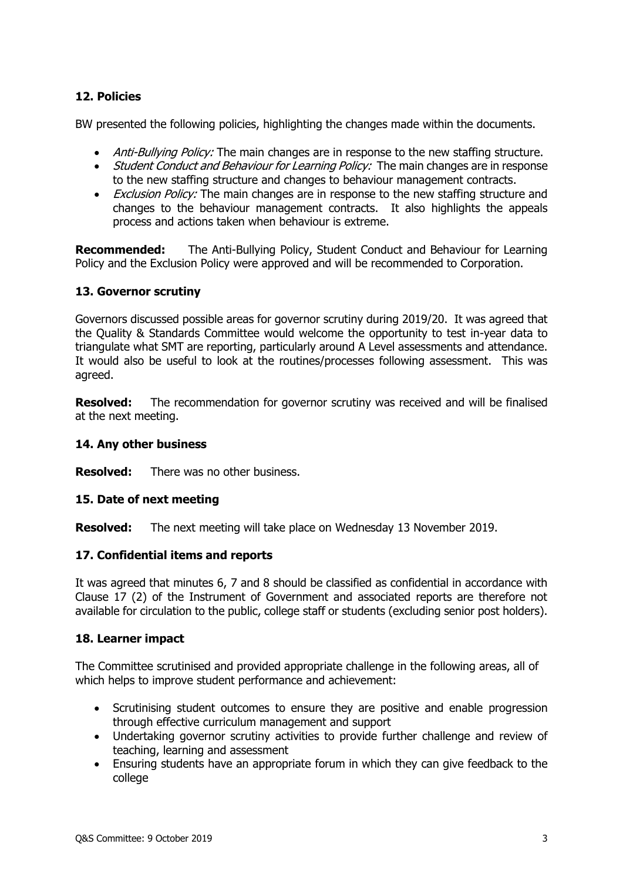# **12. Policies**

BW presented the following policies, highlighting the changes made within the documents.

- Anti-Bullying Policy: The main changes are in response to the new staffing structure.
- Student Conduct and Behaviour for Learning Policy: The main changes are in response to the new staffing structure and changes to behaviour management contracts.
- *Exclusion Policy:* The main changes are in response to the new staffing structure and changes to the behaviour management contracts. It also highlights the appeals process and actions taken when behaviour is extreme.

**Recommended:** The Anti-Bullying Policy, Student Conduct and Behaviour for Learning Policy and the Exclusion Policy were approved and will be recommended to Corporation.

# **13. Governor scrutiny**

Governors discussed possible areas for governor scrutiny during 2019/20. It was agreed that the Quality & Standards Committee would welcome the opportunity to test in-year data to triangulate what SMT are reporting, particularly around A Level assessments and attendance. It would also be useful to look at the routines/processes following assessment. This was agreed.

**Resolved:** The recommendation for governor scrutiny was received and will be finalised at the next meeting.

## **14. Any other business**

**Resolved:** There was no other business.

# **15. Date of next meeting**

**Resolved:** The next meeting will take place on Wednesday 13 November 2019.

# **17. Confidential items and reports**

It was agreed that minutes 6, 7 and 8 should be classified as confidential in accordance with Clause 17 (2) of the Instrument of Government and associated reports are therefore not available for circulation to the public, college staff or students (excluding senior post holders).

### **18. Learner impact**

The Committee scrutinised and provided appropriate challenge in the following areas, all of which helps to improve student performance and achievement:

- Scrutinising student outcomes to ensure they are positive and enable progression through effective curriculum management and support
- Undertaking governor scrutiny activities to provide further challenge and review of teaching, learning and assessment
- Ensuring students have an appropriate forum in which they can give feedback to the college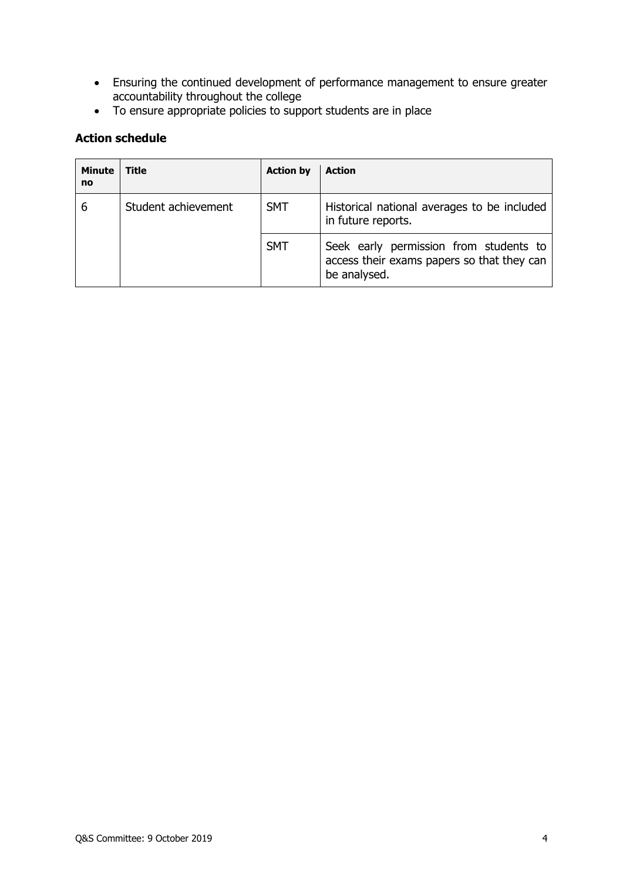- Ensuring the continued development of performance management to ensure greater accountability throughout the college
- To ensure appropriate policies to support students are in place

# **Action schedule**

| <b>Minute</b><br>no | <b>Title</b>        | <b>Action by</b> | <b>Action</b>                                                                                        |
|---------------------|---------------------|------------------|------------------------------------------------------------------------------------------------------|
| 6                   | Student achievement | <b>SMT</b>       | Historical national averages to be included<br>in future reports.                                    |
|                     |                     | <b>SMT</b>       | Seek early permission from students to<br>access their exams papers so that they can<br>be analysed. |